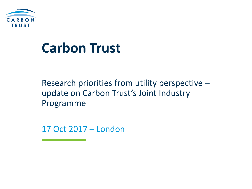

## **Carbon Trust**

Research priorities from utility perspective – update on Carbon Trust's Joint Industry Programme

17 Oct 2017 – London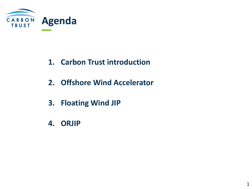

- **1. Carbon Trust introduction**
- **2. Offshore Wind Accelerator**
- **3. Floating Wind JIP**
- **4. ORJIP**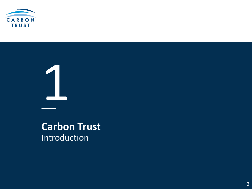

1

## Introduction **Carbon Trust**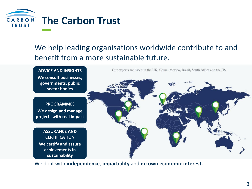

### We help leading organisations worldwide contribute to and benefit from a more sustainable future.



We do it with **independence**, **impartiality** and **no own economic interest.**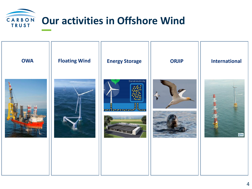

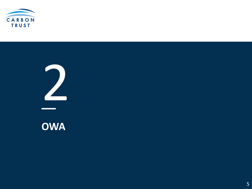

**OWA**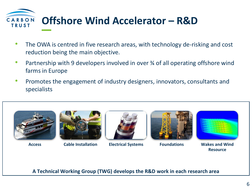

- The OWA is centred in five research areas, with technology de-risking and cost reduction being the main objective.
- Partnership with 9 developers involved in over % of all operating offshore wind farms in Europe
- Promotes the engagement of industry designers, innovators, consultants and specialists







**Access Cable Installation Electrical Systems Foundations Wakes and Wind** 





**Resource**

**A Technical Working Group (TWG) develops the R&D work in each research area**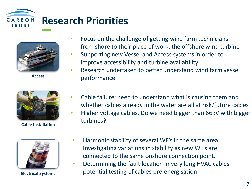



**Access**



**Cable Installation**



**Electrical Systems**

- Focus on the challenge of getting wind farm technicians from shore to their place of work, the offshore wind turbine
- Supporting new Vessel and Access systems in order to improve accessibility and turbine availability
- Research undertaken to better understand wind farm vessel performance
- Cable failure: need to understand what is causing them and whether cables already in the water are all at risk/future cables
- Higher voltage cables. Do we need bigger than 66kV with bigger turbines?
- Harmonic stability of several WF's in the same area. Investigating variations in stability as new WF's are connected to the same onshore connection point.
- Determining the fault location in very long HVAC cables potential testing of cables pre-energisation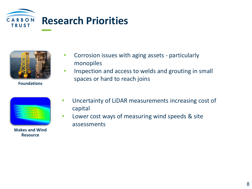



**Foundations**

- Corrosion issues with aging assets particularly monopiles
- Inspection and access to welds and grouting in small spaces or hard to reach joins

**Wakes and Wind Resource**

- Uncertainty of LiDAR measurements increasing cost of capital
- Lower cost ways of measuring wind speeds & site assessments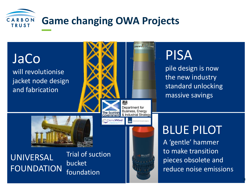

JaCo will revolutionise jacket node design and fabrication

UNIVERSAL FOUNDATION

Trial of suction bucket foundation



Government

# **PISA**

pile design is now the new industry standard unlocking massive savings

**BLUE PILOT** 

A 'gentle' hammer to make transition pieces obsolete and reduce noise emissions

9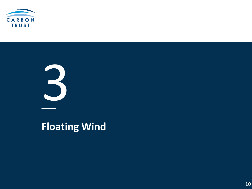

**Floating Wind**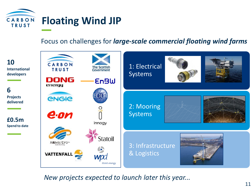

#### Focus on challenges for *large-scale commercial floating wind farms*



*New projects expected to launch later this year...*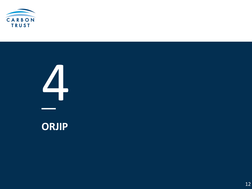

# **ORJIP**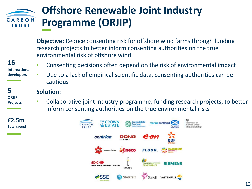#### **Offshore Renewable Joint Industry**  CARBON **Programme (ORJIP) TRUST**

**Objective:** Reduce consenting risk for offshore wind farms through funding research projects to better inform consenting authorities on the true environmental risk of offshore wind

#### **16**

**International developers**

- Consenting decisions often depend on the risk of environmental impact
- Due to a lack of empirical scientific data, consenting authorities can be cautious

#### **5 ORJIP Projects**

#### **Solution:**

• Collaborative joint industry programme, funding research projects, to better inform consenting authorities on the true environmental risks

**£2.5m Total spend**

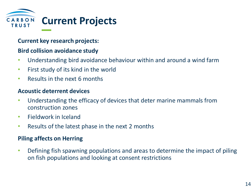

#### **Current key research projects:**

#### **Bird collision avoidance study**

- Understanding bird avoidance behaviour within and around a wind farm
- First study of its kind in the world
- Results in the next 6 months

#### **Acoustic deterrent devices**

- Understanding the efficacy of devices that deter marine mammals from construction zones
- Fieldwork in Iceland
- Results of the latest phase in the next 2 months

#### **Piling affects on Herring**

• Defining fish spawning populations and areas to determine the impact of piling on fish populations and looking at consent restrictions